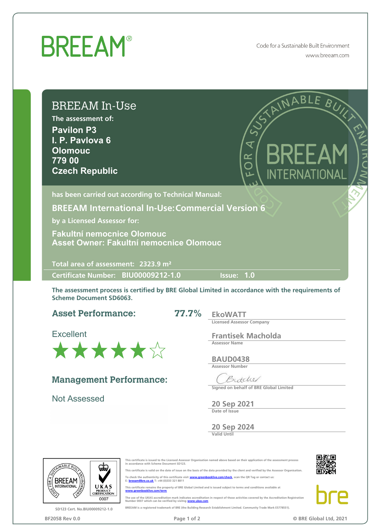## **BREEAM®**

Code for a Sustainable Built Environment www.breeam.com

## BREEAM In-Use

The assessment of: **Pavilon P3 I. P. Pavlova 6 Olomouc 779 00 Czech Republic**



has been carried out according to Technical Manual:

**BREEAM International In-Use: Commercial Version 6**

by a Licensed Assessor for:

**Asset Owner: Fakultní nemocnice Olomouc Fakultní nemocnice Olomouc**

Total area of assessment: 2323.9 m²

Certimcate Number: Issue: **1.0 BIU00009212-1.0**

The assessment process is certified by BRE Global Limited in accordance with the requirements of Scheme Document SD6063.

**77.7%**

**Asset Performance:**

**Excellent**



**Management Performance:**

**Not Assessed**

EkoWATT Licensed Assessor Company

Frantisek Macholda Assessor Name

BAUD0438 Assessor Number

Butchel Signed on behalf of BRE Global Limited

20 Sep 2021 Date of Issue

20 Sep 2024 Valid Until



SD123 Cert. No.BIU00009212-1.0



icate is valid on the date of issue on the basis of the data provided by the client and verified by the Assessor Organisation.

To check the authenticity of this certificate visit <u>www.greenbooklive.com/check</u>, scan the QR Tag or contact us:<br>E: <mark>breeam@bre.co.uk</mark> T: +44 (0)333 321 8811

This certificate remains the property of BRE Global Limited and is issued subject to terms and conditions available at [www.greenbooklive.com/term](http://www.greenbooklive.com/terms)

The use of the UKAS accreditation mark indicates accreditation in respect of those activities covered by the Accreditation Registration<br>Number 0007 which can be verified by visitng **www.ukas.com**